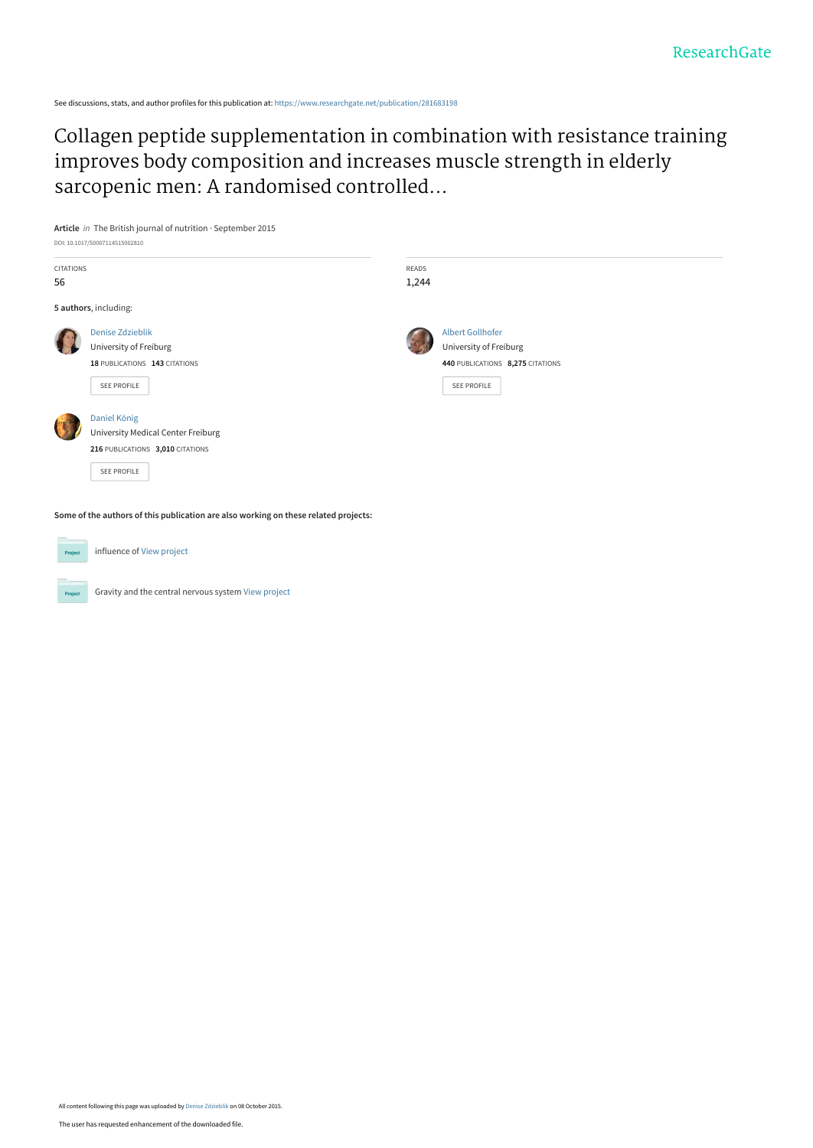See discussions, stats, and author profiles for this publication at: [https://www.researchgate.net/publication/281683198](https://www.researchgate.net/publication/281683198_Collagen_peptide_supplementation_in_combination_with_resistance_training_improves_body_composition_and_increases_muscle_strength_in_elderly_sarcopenic_men_A_randomised_controlled_trial?enrichId=rgreq-9111b505f778fc2863055192151f9879-XXX&enrichSource=Y292ZXJQYWdlOzI4MTY4MzE5ODtBUzoyODIyNjkxMzU3MjA0NDlAMTQ0NDMwOTYxNDMxNA%3D%3D&el=1_x_2&_esc=publicationCoverPdf)

[Collagen peptide supplementation in combination with resistance training](https://www.researchgate.net/publication/281683198_Collagen_peptide_supplementation_in_combination_with_resistance_training_improves_body_composition_and_increases_muscle_strength_in_elderly_sarcopenic_men_A_randomised_controlled_trial?enrichId=rgreq-9111b505f778fc2863055192151f9879-XXX&enrichSource=Y292ZXJQYWdlOzI4MTY4MzE5ODtBUzoyODIyNjkxMzU3MjA0NDlAMTQ0NDMwOTYxNDMxNA%3D%3D&el=1_x_3&_esc=publicationCoverPdf) improves body composition and increases muscle strength in elderly sarcopenic men: A randomised controlled...



influence of [View project](https://www.researchgate.net/project/influence-of?enrichId=rgreq-9111b505f778fc2863055192151f9879-XXX&enrichSource=Y292ZXJQYWdlOzI4MTY4MzE5ODtBUzoyODIyNjkxMzU3MjA0NDlAMTQ0NDMwOTYxNDMxNA%3D%3D&el=1_x_9&_esc=publicationCoverPdf) Project

Gravity and the central nervous system [View project](https://www.researchgate.net/project/Gravity-and-the-central-nervous-system?enrichId=rgreq-9111b505f778fc2863055192151f9879-XXX&enrichSource=Y292ZXJQYWdlOzI4MTY4MzE5ODtBUzoyODIyNjkxMzU3MjA0NDlAMTQ0NDMwOTYxNDMxNA%3D%3D&el=1_x_9&_esc=publicationCoverPdf)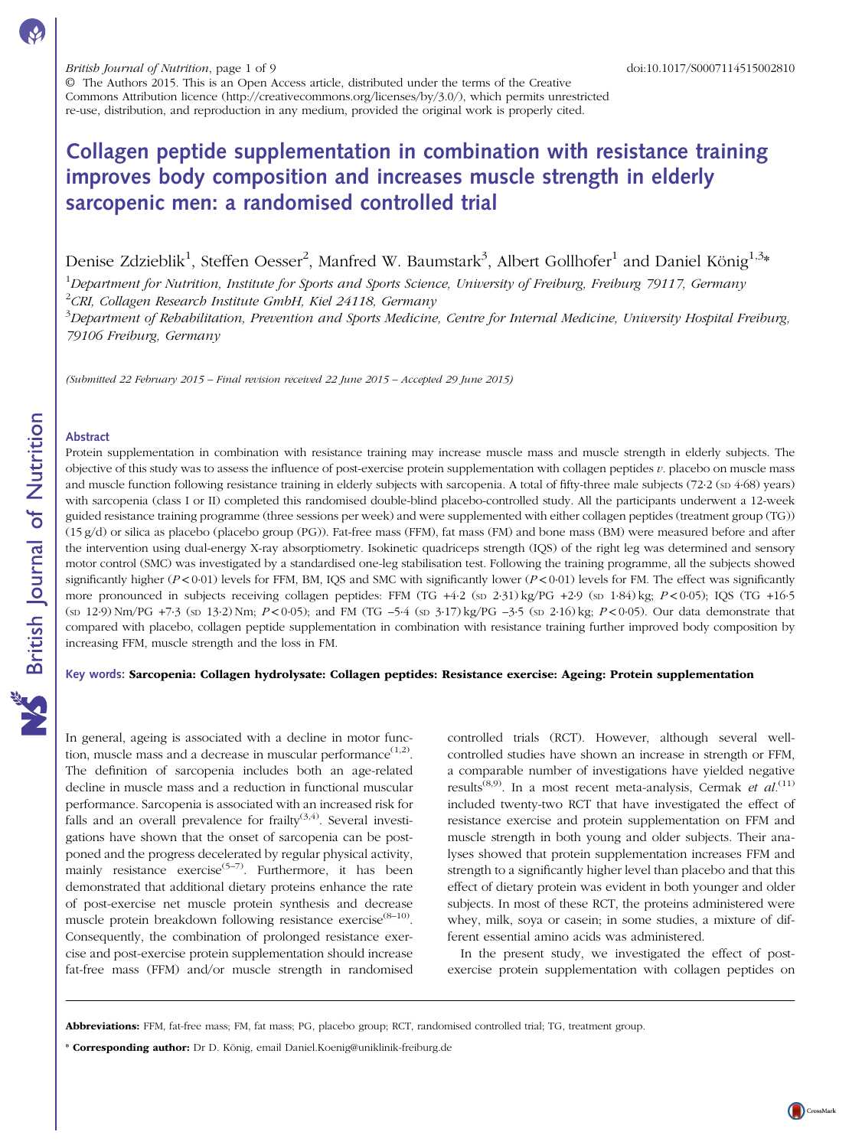© The Authors 2015. This is an Open Access article, distributed under the terms of the Creative Commons Attribution licence (http://creativecommons.org/licenses/by/3.0/), which permits unrestricted re-use, distribution, and reproduction in any medium, provided the original work is properly cited.

# Collagen peptide supplementation in combination with resistance training improves body composition and increases muscle strength in elderly sarcopenic men: a randomised controlled trial

Denise Zdzieblik $^1$ , Steffen Oesser $^2$ , Manfred W. Baumstark $^3$ , Albert Gollhofer $^1$  and Daniel König $^{1,3\ast}$ 

 $^1$ Department for Nutrition, Institute for Sports and Sports Science, University of Freiburg, Freiburg 79117, Germany  $\mathrm{^{2}C}$ RI, Collagen Research Institute GmbH, Kiel 24118, Germany

 $^3$ Department of Rehabilitation, Prevention and Sports Medicine, Centre for Internal Medicine, University Hospital Freiburg, 79106 Freiburg, Germany

(Submitted 22 February 2015 – Final revision received 22 June 2015 – Accepted 29 June 2015)

#### Abstract

Protein supplementation in combination with resistance training may increase muscle mass and muscle strength in elderly subjects. The objective of this study was to assess the influence of post-exercise protein supplementation with collagen peptides  $v$ . placebo on muscle mass and muscle function following resistance training in elderly subjects with sarcopenia. A total of fifty-three male subjects  $(72.2 \text{ (so } 4.68) \text{ years})$ with sarcopenia (class I or II) completed this randomised double-blind placebo-controlled study. All the participants underwent a 12-week guided resistance training programme (three sessions per week) and were supplemented with either collagen peptides (treatment group (TG)) (15 g/d) or silica as placebo (placebo group (PG)). Fat-free mass (FFM), fat mass (FM) and bone mass (BM) were measured before and after the intervention using dual-energy X-ray absorptiometry. Isokinetic quadriceps strength (IQS) of the right leg was determined and sensory motor control (SMC) was investigated by a standardised one-leg stabilisation test. Following the training programme, all the subjects showed significantly higher ( $P < 0.01$ ) levels for FFM, BM, IQS and SMC with significantly lower ( $P < 0.01$ ) levels for FM. The effect was significantly more pronounced in subjects receiving collagen peptides: FFM (TG +4·2 (sp 2·31) kg/PG +2·9 (sp 1·84) kg; P <0·05); IQS (TG +16·5 (sp 12.9) Nm/PG +7.3 (sp 13.2) Nm;  $P < 0.05$ ); and FM (TG -5.4 (sp 3.17) kg/PG -3.5 (sp 2.16) kg;  $P < 0.05$ ). Our data demonstrate that compared with placebo, collagen peptide supplementation in combination with resistance training further improved body composition by increasing FFM, muscle strength and the loss in FM.

# Key words: Sarcopenia: Collagen hydrolysate: Collagen peptides: Resistance exercise: Ageing: Protein supplementation

In general, ageing is associated with a decline in motor function, muscle mass and a decrease in muscular performance $(1,2)$ . The definition of sarcopenia includes both an age-related decline in muscle mass and a reduction in functional muscular performance. Sarcopenia is associated with an increased risk for falls and an overall prevalence for frailty<sup>([3](#page-8-0),[4](#page-8-0))</sup>. Several investigations have shown that the onset of sarcopenia can be postponed and the progress decelerated by regular physical activity, mainly resistance exercise<sup>([5](#page-8-0)-[7\)](#page-8-0)</sup>. Furthermore, it has been demonstrated that additional dietary proteins enhance the rate of post-exercise net muscle protein synthesis and decrease muscle protein breakdown following resistance exercise<sup>[\(8](#page-8-0)-[10\)](#page-8-0)</sup>. Consequently, the combination of prolonged resistance exercise and post-exercise protein supplementation should increase fat-free mass (FFM) and/or muscle strength in randomised

controlled trials (RCT). However, although several wellcontrolled studies have shown an increase in strength or FFM, a comparable number of investigations have yielded negative results<sup>([8](#page-8-0),[9](#page-8-0))</sup>. In a most recent meta-analysis, Cermak et  $al$ <sup>[\(11](#page-8-0))</sup> included twenty-two RCT that have investigated the effect of resistance exercise and protein supplementation on FFM and muscle strength in both young and older subjects. Their analyses showed that protein supplementation increases FFM and strength to a significantly higher level than placebo and that this effect of dietary protein was evident in both younger and older subjects. In most of these RCT, the proteins administered were whey, milk, soya or casein; in some studies, a mixture of different essential amino acids was administered.

In the present study, we investigated the effect of postexercise protein supplementation with collagen peptides on

Abbreviations: FFM, fat-free mass; FM, fat mass; PG, placebo group; RCT, randomised controlled trial; TG, treatment group.

<sup>\*</sup> Corresponding author: Dr D. König, email [Daniel.Koenig@uniklinik-freiburg.de](mailto:Daniel.Koenig@uniklinik-freiburg.de)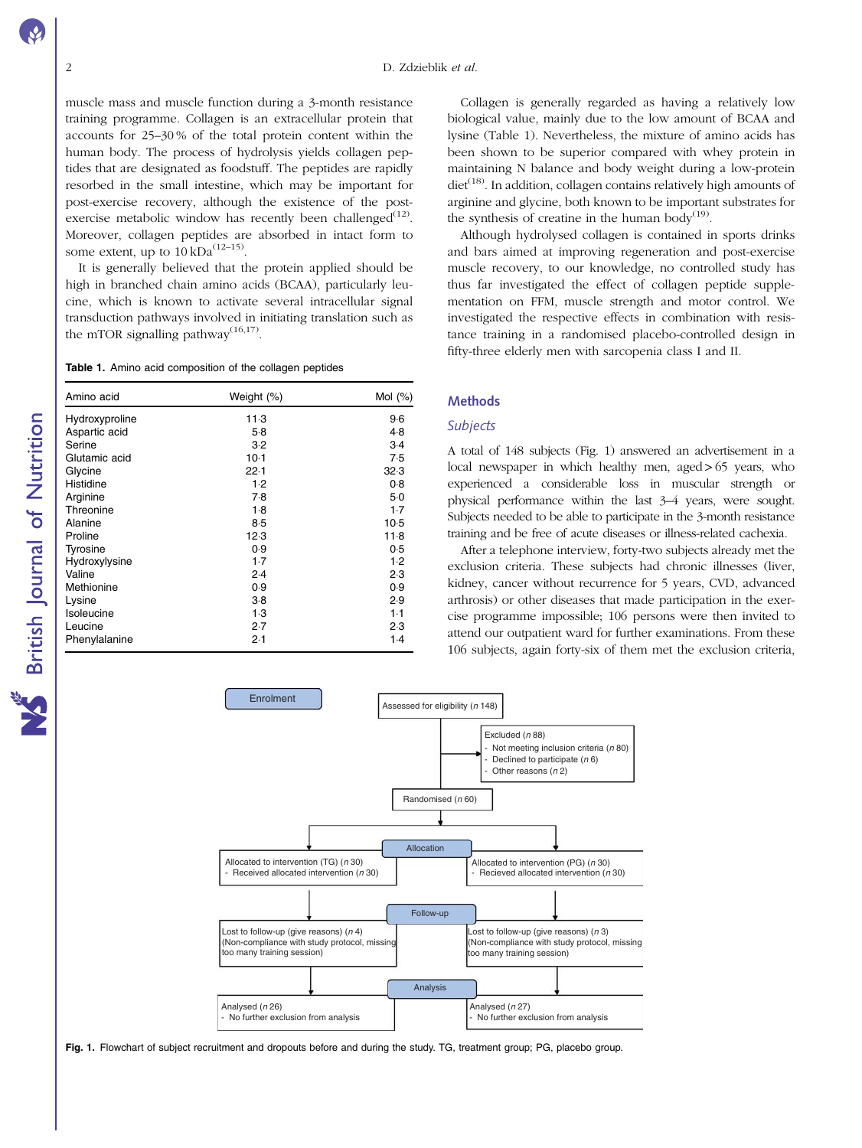<span id="page-2-0"></span>muscle mass and muscle function during a 3-month resistance training programme. Collagen is an extracellular protein that accounts for 25–30 % of the total protein content within the human body. The process of hydrolysis yields collagen peptides that are designated as foodstuff. The peptides are rapidly resorbed in the small intestine, which may be important for post-exercise recovery, although the existence of the post-exercise metabolic window has recently been challenged<sup>[\(12\)](#page-8-0)</sup>. Moreover, collagen peptides are absorbed in intact form to some extent, up to  $10 \text{ kDa}^{(12-15)}$  $10 \text{ kDa}^{(12-15)}$  $10 \text{ kDa}^{(12-15)}$  $10 \text{ kDa}^{(12-15)}$  $10 \text{ kDa}^{(12-15)}$ .

It is generally believed that the protein applied should be high in branched chain amino acids (BCAA), particularly leucine, which is known to activate several intracellular signal transduction pathways involved in initiating translation such as the mTOR signalling pathway<sup>[\(16](#page-8-0),[17\)](#page-8-0)</sup>.

Table 1. Amino acid composition of the collagen peptides

| Amino acid     | Weight (%) | Mol $(%)$ |  |
|----------------|------------|-----------|--|
| Hydroxyproline | $11-3$     | $9-6$     |  |
| Aspartic acid  | 5.8        | 4.8       |  |
| Serine         | 3.2        | 3.4       |  |
| Glutamic acid  | $10-1$     | 7.5       |  |
| Glycine        | 22.1       | 32.3      |  |
| Histidine      | 1.2        | 0.8       |  |
| Arginine       | 7.8        | 5.0       |  |
| Threonine      | 1.8        | $1-7$     |  |
| Alanine        | 85         | $10-5$    |  |
| Proline        | 12.3       | 11.8      |  |
| Tyrosine       | 0.9        | 0.5       |  |
| Hydroxylysine  | $1-7$      | 1.2       |  |
| Valine         | 2.4        | 2.3       |  |
| Methionine     | 0.9        | 0.9       |  |
| Lysine         | 3.8        | 2.9       |  |
| Isoleucine     | 1.3        | $1-1$     |  |
| Leucine        | 2.7        | 2.3       |  |
| Phenylalanine  | 2.1        | $1-4$     |  |

Collagen is generally regarded as having a relatively low biological value, mainly due to the low amount of BCAA and lysine (Table 1). Nevertheless, the mixture of amino acids has been shown to be superior compared with whey protein in maintaining N balance and body weight during a low-protein  $\text{diet}^{(18)}$  $\text{diet}^{(18)}$  $\text{diet}^{(18)}$ . In addition, collagen contains relatively high amounts of arginine and glycine, both known to be important substrates for the synthesis of creatine in the human body<sup>[\(19\)](#page-8-0)</sup>.

Although hydrolysed collagen is contained in sports drinks and bars aimed at improving regeneration and post-exercise muscle recovery, to our knowledge, no controlled study has thus far investigated the effect of collagen peptide supplementation on FFM, muscle strength and motor control. We investigated the respective effects in combination with resistance training in a randomised placebo-controlled design in fifty-three elderly men with sarcopenia class I and II.

#### **Methods**

## **Subjects**

A total of 148 subjects (Fig. 1) answered an advertisement in a local newspaper in which healthy men, aged>65 years, who experienced a considerable loss in muscular strength or physical performance within the last 3–4 years, were sought. Subjects needed to be able to participate in the 3-month resistance training and be free of acute diseases or illness-related cachexia.

After a telephone interview, forty-two subjects already met the exclusion criteria. These subjects had chronic illnesses (liver, kidney, cancer without recurrence for 5 years, CVD, advanced arthrosis) or other diseases that made participation in the exercise programme impossible; 106 persons were then invited to attend our outpatient ward for further examinations. From these 106 subjects, again forty-six of them met the exclusion criteria,



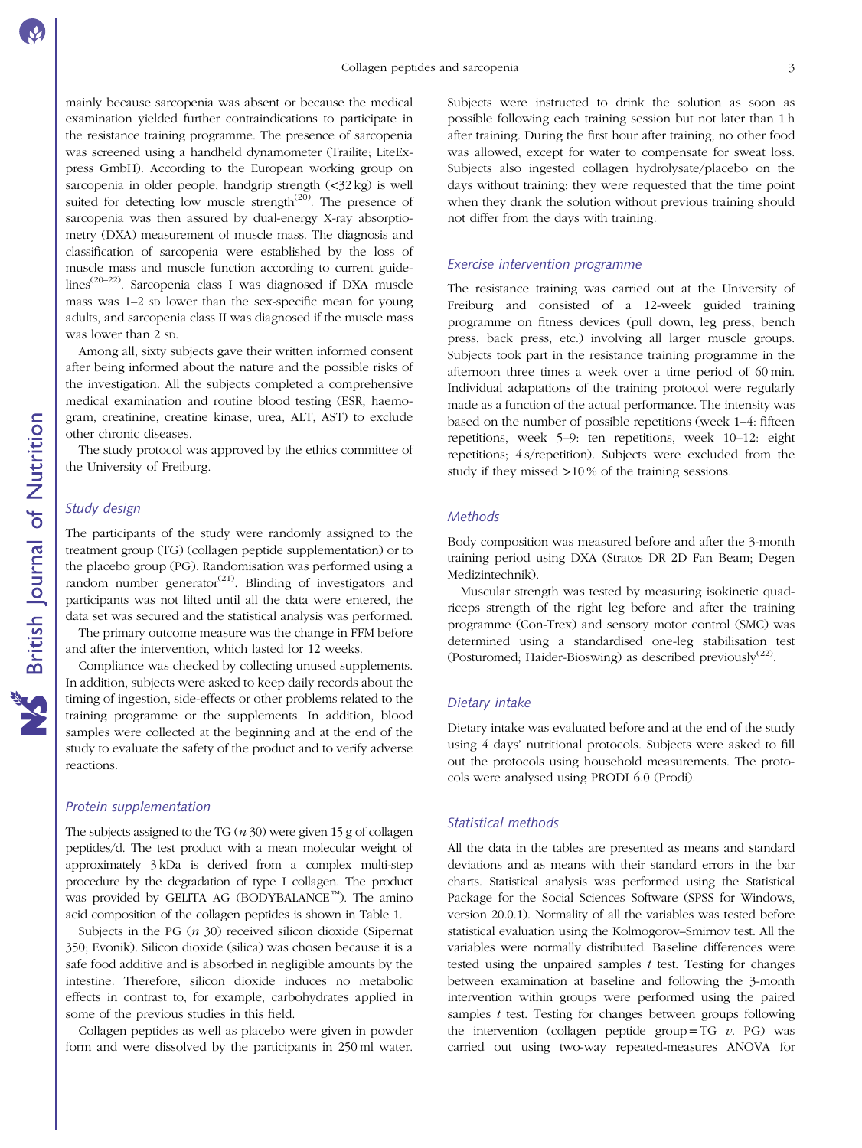mainly because sarcopenia was absent or because the medical examination yielded further contraindications to participate in the resistance training programme. The presence of sarcopenia was screened using a handheld dynamometer (Trailite; LiteExpress GmbH). According to the European working group on sarcopenia in older people, handgrip strength (<32 kg) is well suited for detecting low muscle strength<sup> $(20)$  $(20)$  $(20)$ </sup>. The presence of sarcopenia was then assured by dual-energy X-ray absorptiometry (DXA) measurement of muscle mass. The diagnosis and classification of sarcopenia were established by the loss of muscle mass and muscle function according to current guide-lines<sup>([20](#page-8-0)–[22](#page-8-0))</sup>. Sarcopenia class I was diagnosed if DXA muscle mass was 1-2 sp lower than the sex-specific mean for young adults, and sarcopenia class II was diagnosed if the muscle mass was lower than 2 sp.

Among all, sixty subjects gave their written informed consent after being informed about the nature and the possible risks of the investigation. All the subjects completed a comprehensive medical examination and routine blood testing (ESR, haemogram, creatinine, creatine kinase, urea, ALT, AST) to exclude other chronic diseases.

The study protocol was approved by the ethics committee of the University of Freiburg.

## Study design

The participants of the study were randomly assigned to the treatment group (TG) (collagen peptide supplementation) or to the placebo group (PG). Randomisation was performed using a random number generator<sup>[\(21\)](#page-8-0)</sup>. Blinding of investigators and participants was not lifted until all the data were entered, the data set was secured and the statistical analysis was performed.

The primary outcome measure was the change in FFM before and after the intervention, which lasted for 12 weeks.

Compliance was checked by collecting unused supplements. In addition, subjects were asked to keep daily records about the timing of ingestion, side-effects or other problems related to the training programme or the supplements. In addition, blood samples were collected at the beginning and at the end of the study to evaluate the safety of the product and to verify adverse reactions.

## Protein supplementation

The subjects assigned to the TG  $(n 30)$  were given 15 g of collagen peptides/d. The test product with a mean molecular weight of approximately 3 kDa is derived from a complex multi-step procedure by the degradation of type I collagen. The product was provided by GELITA AG (BODYBALANCE<sup>™</sup>). The amino acid composition of the collagen peptides is shown in [Table 1](#page-2-0).

Subjects in the PG  $(n 30)$  received silicon dioxide (Sipernat 350; Evonik). Silicon dioxide (silica) was chosen because it is a safe food additive and is absorbed in negligible amounts by the intestine. Therefore, silicon dioxide induces no metabolic effects in contrast to, for example, carbohydrates applied in some of the previous studies in this field.

Collagen peptides as well as placebo were given in powder form and were dissolved by the participants in 250 ml water.

Subjects were instructed to drink the solution as soon as possible following each training session but not later than 1 h after training. During the first hour after training, no other food was allowed, except for water to compensate for sweat loss. Subjects also ingested collagen hydrolysate/placebo on the days without training; they were requested that the time point when they drank the solution without previous training should not differ from the days with training.

## Exercise intervention programme

The resistance training was carried out at the University of Freiburg and consisted of a 12-week guided training programme on fitness devices (pull down, leg press, bench press, back press, etc.) involving all larger muscle groups. Subjects took part in the resistance training programme in the afternoon three times a week over a time period of 60 min. Individual adaptations of the training protocol were regularly made as a function of the actual performance. The intensity was based on the number of possible repetitions (week 1–4: fifteen repetitions, week 5–9: ten repetitions, week 10–12: eight repetitions; 4 s/repetition). Subjects were excluded from the study if they missed >10 % of the training sessions.

## **Methods**

Body composition was measured before and after the 3-month training period using DXA (Stratos DR 2D Fan Beam; Degen Medizintechnik).

Muscular strength was tested by measuring isokinetic quadriceps strength of the right leg before and after the training programme (Con-Trex) and sensory motor control (SMC) was determined using a standardised one-leg stabilisation test (Posturomed; Haider-Bioswing) as described previously<sup>[\(22](#page-8-0))</sup>.

#### Dietary intake

Dietary intake was evaluated before and at the end of the study using 4 days' nutritional protocols. Subjects were asked to fill out the protocols using household measurements. The protocols were analysed using PRODI 6.0 (Prodi).

# Statistical methods

All the data in the tables are presented as means and standard deviations and as means with their standard errors in the bar charts. Statistical analysis was performed using the Statistical Package for the Social Sciences Software (SPSS for Windows, version 20.0.1). Normality of all the variables was tested before statistical evaluation using the Kolmogorov–Smirnov test. All the variables were normally distributed. Baseline differences were tested using the unpaired samples  $t$  test. Testing for changes between examination at baseline and following the 3-month intervention within groups were performed using the paired samples  $t$  test. Testing for changes between groups following the intervention (collagen peptide group=TG  $v$ . PG) was carried out using two-way repeated-measures ANOVA for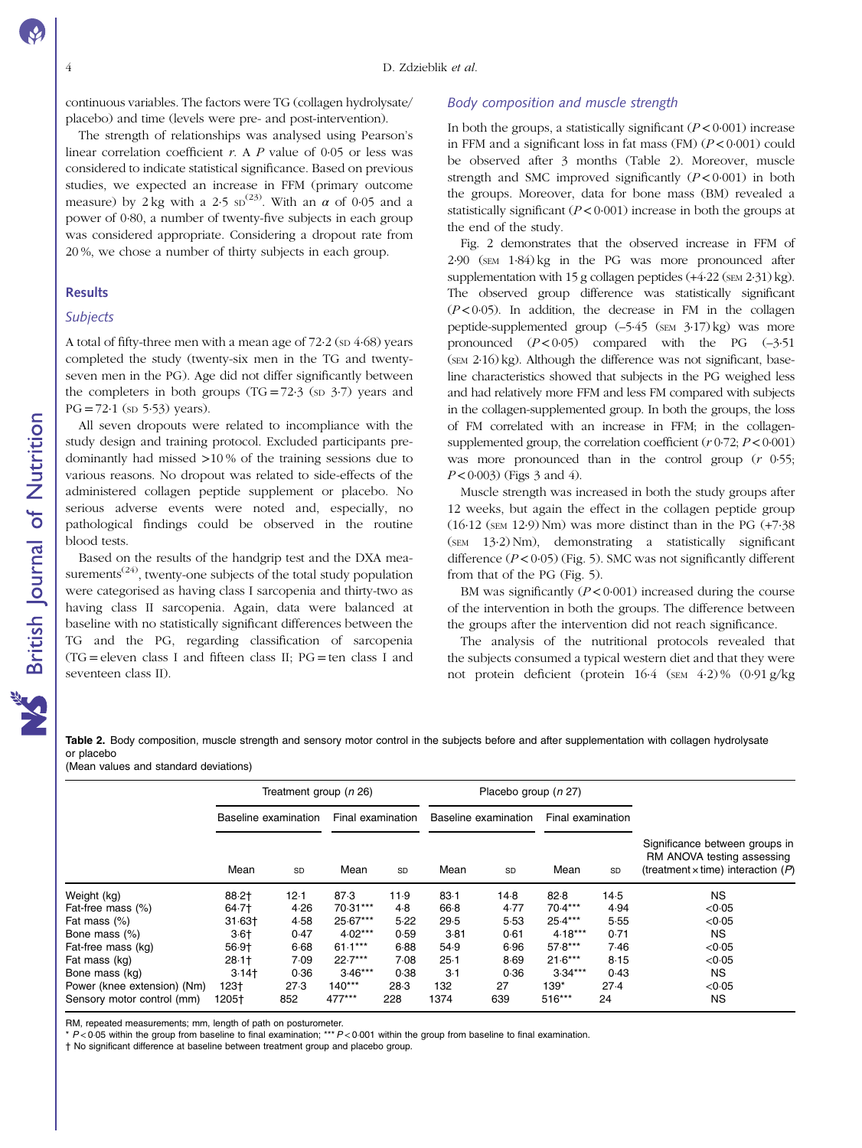continuous variables. The factors were TG (collagen hydrolysate/ placebo) and time (levels were pre- and post-intervention).

The strength of relationships was analysed using Pearson's linear correlation coefficient  $r$ . A  $P$  value of 0.05 or less was considered to indicate statistical significance. Based on previous studies, we expected an increase in FFM (primary outcome measure) by 2 kg with a 2.5 sD<sup>([23\)](#page-8-0)</sup>. With an  $\alpha$  of 0.05 and a power of 0·80, a number of twenty-five subjects in each group was considered appropriate. Considering a dropout rate from 20 %, we chose a number of thirty subjects in each group.

# Results

# **Subjects**

A total of fifty-three men with a mean age of 72.2 (sp 4.68) years completed the study (twenty-six men in the TG and twentyseven men in the PG). Age did not differ significantly between the completers in both groups  $(TG = 72.3 \text{ (sn } 3.7)$  years and  $PG = 72.1$  (sp 5.53) years).

All seven dropouts were related to incompliance with the study design and training protocol. Excluded participants predominantly had missed >10 % of the training sessions due to various reasons. No dropout was related to side-effects of the administered collagen peptide supplement or placebo. No serious adverse events were noted and, especially, no pathological findings could be observed in the routine blood tests.

Based on the results of the handgrip test and the DXA measurements<sup> $(24)$  $(24)$ </sup>, twenty-one subjects of the total study population were categorised as having class I sarcopenia and thirty-two as having class II sarcopenia. Again, data were balanced at baseline with no statistically significant differences between the TG and the PG, regarding classification of sarcopenia  $(TG =$  eleven class I and fifteen class II; P $G =$  ten class I and seventeen class II).

## Body composition and muscle strength

In both the groups, a statistically significant  $(P < 0.001)$  increase in FFM and a significant loss in fat mass (FM)  $(P<0.001)$  could be observed after 3 months (Table 2). Moreover, muscle strength and SMC improved significantly  $(P < 0.001)$  in both the groups. Moreover, data for bone mass (BM) revealed a statistically significant  $(P<0.001)$  increase in both the groups at the end of the study.

[Fig. 2](#page-5-0) demonstrates that the observed increase in FFM of 2·90 (SEM 1·84) kg in the PG was more pronounced after supplementation with 15 g collagen peptides (+4·22 (SEM 2·31) kg). The observed group difference was statistically significant  $(P<0.05)$ . In addition, the decrease in FM in the collagen peptide-supplemented group (-5.45 (SEM 3.17) kg) was more pronounced  $(P<0.05)$  compared with the PG  $(-3.51)$ (SEM 2·16) kg). Although the difference was not significant, baseline characteristics showed that subjects in the PG weighed less and had relatively more FFM and less FM compared with subjects in the collagen-supplemented group. In both the groups, the loss of FM correlated with an increase in FFM; in the collagensupplemented group, the correlation coefficient  $(r 0.72; P < 0.001)$ was more pronounced than in the control group  $(r \ 0.55;$  $P < 0.003$ ) ([Figs 3](#page-5-0) and [4](#page-6-0)).

Muscle strength was increased in both the study groups after 12 weeks, but again the effect in the collagen peptide group  $(16.12 \text{ (SEM } 12.9) \text{ Nm})$  was more distinct than in the PG  $(+7.38)$ (SEM 13·2) Nm), demonstrating a statistically significant difference  $(P<0.05)$  [\(Fig. 5\)](#page-6-0). SMC was not significantly different from that of the PG [\(Fig. 5](#page-6-0)).

BM was significantly  $(P<0.001)$  increased during the course of the intervention in both the groups. The difference between the groups after the intervention did not reach significance.

The analysis of the nutritional protocols revealed that the subjects consumed a typical western diet and that they were not protein deficient (protein 16·4 (SEM 4·2) % (0·91 g/kg

Table 2. Body composition, muscle strength and sensory motor control in the subjects before and after supplementation with collagen hydrolysate or placebo

|                             | Treatment group (n 26) |      |                   |       | Placebo group (n 27) |        |                   |        |                                                                                                               |
|-----------------------------|------------------------|------|-------------------|-------|----------------------|--------|-------------------|--------|---------------------------------------------------------------------------------------------------------------|
|                             | Baseline examination   |      | Final examination |       | Baseline examination |        | Final examination |        |                                                                                                               |
|                             | Mean                   | SD   | Mean              | SD    | Mean                 | SD     | Mean              | SD     | Significance between groups in<br>RM ANOVA testing assessing<br>(treatment $\times$ time) interaction ( $P$ ) |
| Weight (kg)                 | $88.2 +$               | 12.1 | 87.3              | 11.9  | 83.1                 | $14-8$ | 82.8              | $14-5$ | <b>NS</b>                                                                                                     |
| Fat-free mass (%)           | 64.7†                  | 4.26 | 70.31***          | $4-8$ | 66.8                 | 4.77   | 70.4***           | 4.94   | < 0.05                                                                                                        |
| Fat mass $(\%)$             | $31.63 +$              | 4.58 | 25.67***          | 5.22  | 29.5                 | 5.53   | $25.4***$         | 5.55   | < 0.05                                                                                                        |
| Bone mass (%)               | $3.6+$                 | 0.47 | $4.02***$         | 0.59  | $3-81$               | 0.61   | $4.18***$         | 0.71   | <b>NS</b>                                                                                                     |
| Fat-free mass (kg)          | $56.9+$                | 6.68 | $61.1***$         | 6.88  | 54.9                 | 6.96   | $57.8***$         | 7.46   | < 0.05                                                                                                        |
| Fat mass (kg)               | $28.1+$                | 7.09 | $22.7***$         | 7.08  | $25-1$               | 8.69   | $21.6***$         | 8.15   | < 0.05                                                                                                        |
| Bone mass (kg)              | $3.14+$                | 0.36 | $3.46***$         | 0.38  | $3-1$                | 0.36   | $3.34***$         | 0.43   | <b>NS</b>                                                                                                     |
| Power (knee extension) (Nm) | 123†                   | 27.3 | $140***$          | 28.3  | 132                  | 27     | $139*$            | 27.4   | < 0.05                                                                                                        |
| Sensory motor control (mm)  | 1205†                  | 852  | 477***            | 228   | 1374                 | 639    | 516***            | 24     | <b>NS</b>                                                                                                     |

RM, repeated measurements; mm, length of path on posturometer.

 $* P < 0.05$  within the group from baseline to final examination;  $** P < 0.001$  within the group from baseline to final examination.

† No significant difference at baseline between treatment group and placebo group.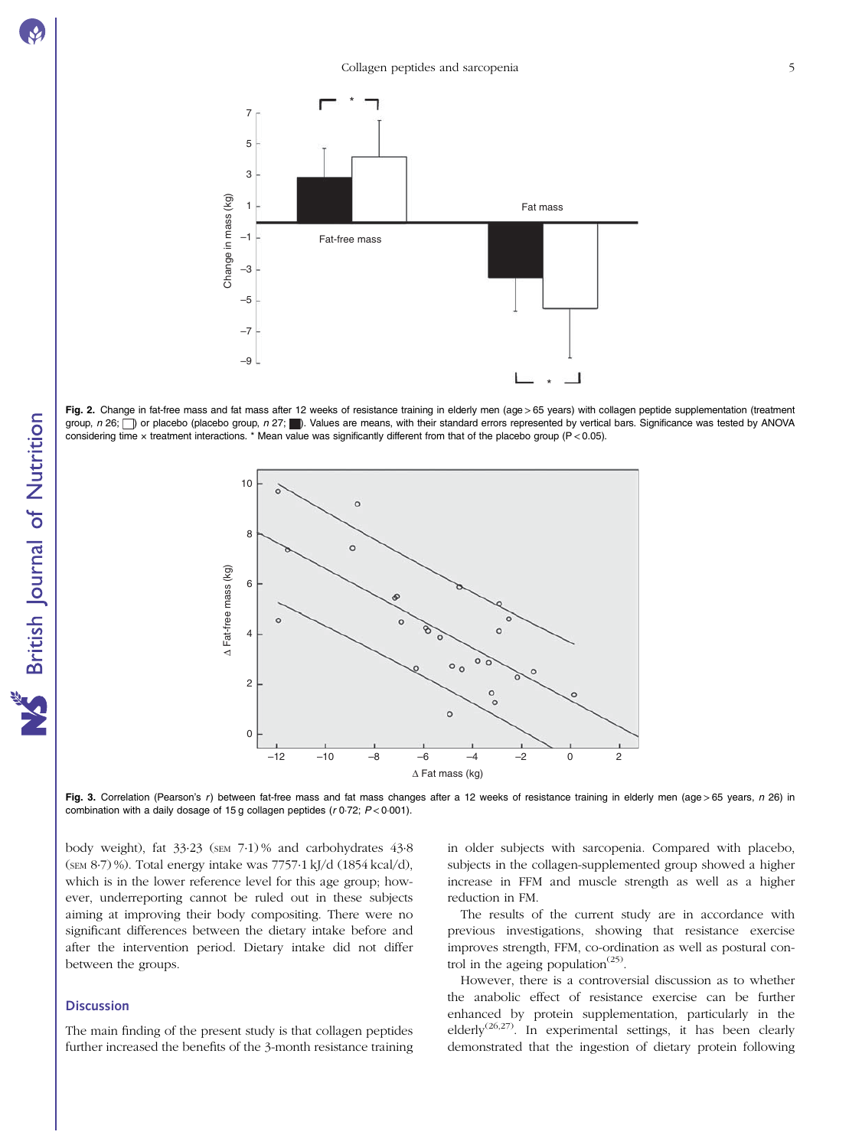<span id="page-5-0"></span>

Fig. 2. Change in fat-free mass and fat mass after 12 weeks of resistance training in elderly men (age > 65 years) with collagen peptide supplementation (treatment group, n 26; or placebo (placebo group, n 27; b. Values are means, with their standard errors represented by vertical bars. Significance was tested by ANOVA considering time  $\times$  treatment interactions. \* Mean value was significantly different from that of the placebo group (P < 0.05).



**NS** British Journal of Nutrition

Fig. 3. Correlation (Pearson's r) between fat-free mass and fat mass changes after a 12 weeks of resistance training in elderly men (age>65 years, n 26) in combination with a daily dosage of 15 g collagen peptides ( $r$  0.72;  $P$  < 0.001).

body weight), fat 33.23 (SEM 7.1)% and carbohydrates 43.8 (SEM 8·7) %). Total energy intake was 7757·1 kJ/d (1854 kcal/d), which is in the lower reference level for this age group; however, underreporting cannot be ruled out in these subjects aiming at improving their body compositing. There were no significant differences between the dietary intake before and after the intervention period. Dietary intake did not differ between the groups.

#### **Discussion**

The main finding of the present study is that collagen peptides further increased the benefits of the 3-month resistance training in older subjects with sarcopenia. Compared with placebo, subjects in the collagen-supplemented group showed a higher increase in FFM and muscle strength as well as a higher reduction in FM.

The results of the current study are in accordance with previous investigations, showing that resistance exercise improves strength, FFM, co-ordination as well as postural control in the ageing population<sup> $(25)$  $(25)$  $(25)$ </sup>.

However, there is a controversial discussion as to whether the anabolic effect of resistance exercise can be further enhanced by protein supplementation, particularly in the elderly<sup>([26,27\)](#page-8-0)</sup>. In experimental settings, it has been clearly demonstrated that the ingestion of dietary protein following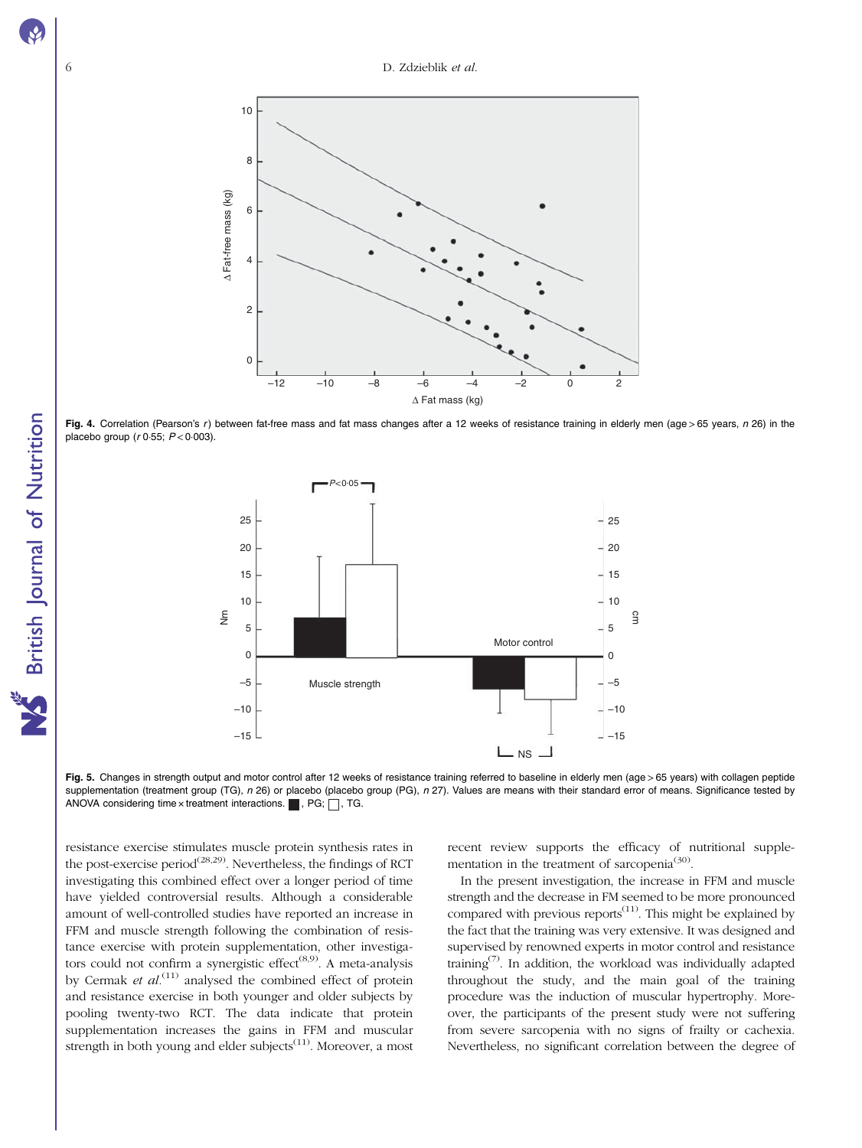<span id="page-6-0"></span>6 D. Zdzieblik et al.



Fig. 4. Correlation (Pearson's r) between fat-free mass and fat mass changes after a 12 weeks of resistance training in elderly men (age > 65 years, n 26) in the placebo group ( $r$  0·55;  $P < 0.003$ ).



Fig. 5. Changes in strength output and motor control after 12 weeks of resistance training referred to baseline in elderly men (age > 65 years) with collagen peptide supplementation (treatment group (TG), n 26) or placebo (placebo group (PG), n 27). Values are means with their standard error of means. Significance tested by ANOVA considering time  $\times$  treatment interactions.  $\blacksquare$ , PG;  $\Box$ , TG.

resistance exercise stimulates muscle protein synthesis rates in the post-exercise period<sup>([28](#page-8-0),[29\)](#page-8-0)</sup>. Nevertheless, the findings of RCT investigating this combined effect over a longer period of time have yielded controversial results. Although a considerable amount of well-controlled studies have reported an increase in FFM and muscle strength following the combination of resistance exercise with protein supplementation, other investigators could not confirm a synergistic effect<sup> $(8,9)$ </sup>. A meta-analysis by Cermak et  $al$ <sup>[\(11](#page-8-0))</sup> analysed the combined effect of protein and resistance exercise in both younger and older subjects by pooling twenty-two RCT. The data indicate that protein supplementation increases the gains in FFM and muscular strength in both young and elder subjects<sup> $(11)$ </sup>. Moreover, a most recent review supports the efficacy of nutritional supple-mentation in the treatment of sarcopenia<sup>[\(30\)](#page-8-0)</sup>.

In the present investigation, the increase in FFM and muscle strength and the decrease in FM seemed to be more pronounced compared with previous reports $^{(11)}$  $^{(11)}$  $^{(11)}$ . This might be explained by the fact that the training was very extensive. It was designed and supervised by renowned experts in motor control and resistance training<sup> $(7)$  $(7)$  $(7)$ </sup>. In addition, the workload was individually adapted throughout the study, and the main goal of the training procedure was the induction of muscular hypertrophy. Moreover, the participants of the present study were not suffering from severe sarcopenia with no signs of frailty or cachexia. Nevertheless, no significant correlation between the degree of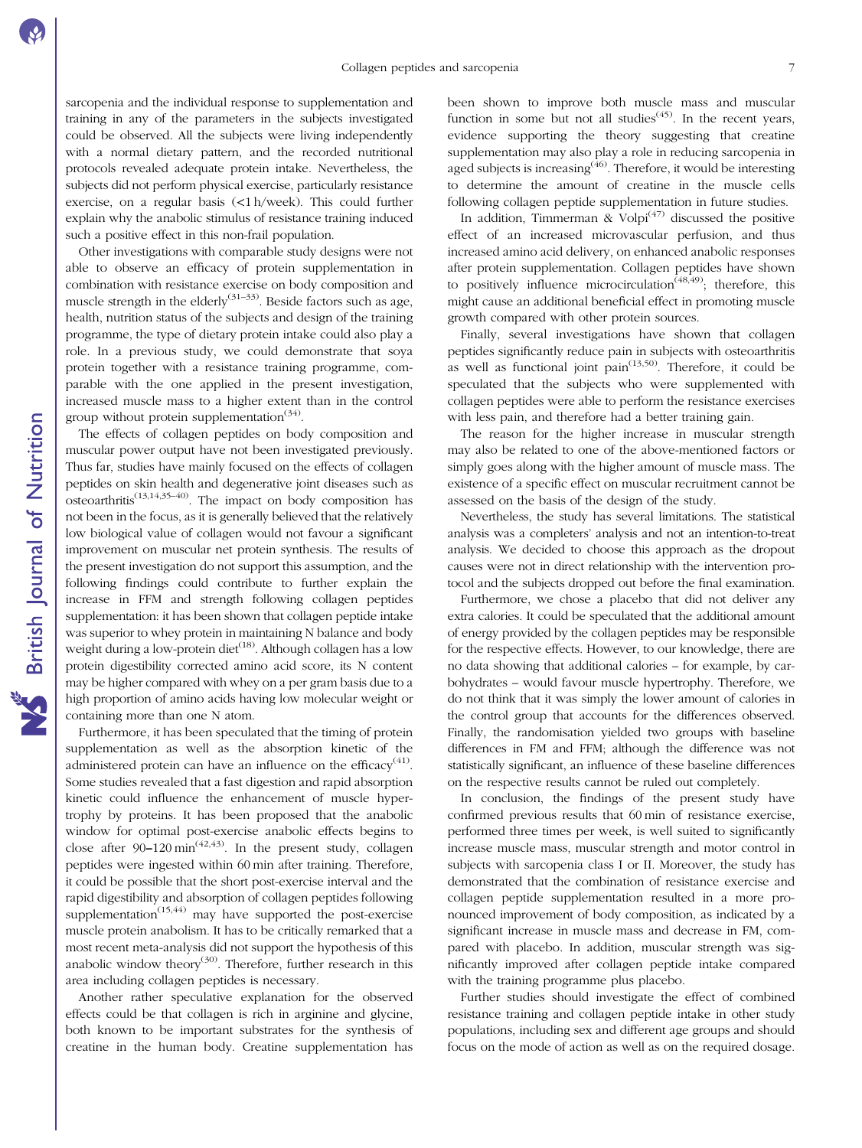sarcopenia and the individual response to supplementation and training in any of the parameters in the subjects investigated could be observed. All the subjects were living independently with a normal dietary pattern, and the recorded nutritional protocols revealed adequate protein intake. Nevertheless, the subjects did not perform physical exercise, particularly resistance exercise, on a regular basis (<1 h/week). This could further explain why the anabolic stimulus of resistance training induced such a positive effect in this non-frail population.

Other investigations with comparable study designs were not able to observe an efficacy of protein supplementation in combination with resistance exercise on body composition and muscle strength in the elderly<sup>([31](#page-8-0)–[33\)](#page-8-0)</sup>. Beside factors such as age, health, nutrition status of the subjects and design of the training programme, the type of dietary protein intake could also play a role. In a previous study, we could demonstrate that soya protein together with a resistance training programme, comparable with the one applied in the present investigation, increased muscle mass to a higher extent than in the control group without protein supplementation<sup> $(34)$  $(34)$ </sup>.

The effects of collagen peptides on body composition and muscular power output have not been investigated previously. Thus far, studies have mainly focused on the effects of collagen peptides on skin health and degenerative joint diseases such as  $\arccos$  osteoarthritis<sup>[\(13,14](#page-8-0),[35](#page-8-0)–[40](#page-9-0))</sup>. The impact on body composition has not been in the focus, as it is generally believed that the relatively low biological value of collagen would not favour a significant improvement on muscular net protein synthesis. The results of the present investigation do not support this assumption, and the following findings could contribute to further explain the increase in FFM and strength following collagen peptides supplementation: it has been shown that collagen peptide intake was superior to whey protein in maintaining N balance and body weight during a low-protein diet<sup>[\(18\)](#page-8-0)</sup>. Although collagen has a low protein digestibility corrected amino acid score, its N content may be higher compared with whey on a per gram basis due to a high proportion of amino acids having low molecular weight or containing more than one N atom.

Furthermore, it has been speculated that the timing of protein supplementation as well as the absorption kinetic of the administered protein can have an influence on the efficacy<sup>[\(41\)](#page-9-0)</sup>. Some studies revealed that a fast digestion and rapid absorption kinetic could influence the enhancement of muscle hypertrophy by proteins. It has been proposed that the anabolic window for optimal post-exercise anabolic effects begins to close after  $90-120$  min<sup> $(42,43)$  $(42,43)$  $(42,43)$ </sup>. In the present study, collagen peptides were ingested within 60 min after training. Therefore, it could be possible that the short post-exercise interval and the rapid digestibility and absorption of collagen peptides following supplementation<sup> $(15,44)$  $(15,44)$  $(15,44)$ </sup> may have supported the post-exercise muscle protein anabolism. It has to be critically remarked that a most recent meta-analysis did not support the hypothesis of this anabolic window theory<sup>[\(30](#page-8-0))</sup>. Therefore, further research in this area including collagen peptides is necessary.

Another rather speculative explanation for the observed effects could be that collagen is rich in arginine and glycine, both known to be important substrates for the synthesis of creatine in the human body. Creatine supplementation has

been shown to improve both muscle mass and muscular function in some but not all studies<sup> $(45)$  $(45)$ </sup>. In the recent years, evidence supporting the theory suggesting that creatine supplementation may also play a role in reducing sarcopenia in aged subjects is increasing  $\frac{(46)}{1}$  $\frac{(46)}{1}$  $\frac{(46)}{1}$ . Therefore, it would be interesting to determine the amount of creatine in the muscle cells following collagen peptide supplementation in future studies.

In addition, Timmerman & Volpi<sup> $(47)$  $(47)$ </sup> discussed the positive effect of an increased microvascular perfusion, and thus increased amino acid delivery, on enhanced anabolic responses after protein supplementation. Collagen peptides have shown to positively influence microcirculation<sup> $(48,49)$  $(48,49)$  $(48,49)$  $(48,49)$ </sup>; therefore, this might cause an additional beneficial effect in promoting muscle growth compared with other protein sources.

Finally, several investigations have shown that collagen peptides significantly reduce pain in subjects with osteoarthritis as well as functional joint pain<sup> $(13,50)$  $(13,50)$  $(13,50)$  $(13,50)$ </sup>. Therefore, it could be speculated that the subjects who were supplemented with collagen peptides were able to perform the resistance exercises with less pain, and therefore had a better training gain.

The reason for the higher increase in muscular strength may also be related to one of the above-mentioned factors or simply goes along with the higher amount of muscle mass. The existence of a specific effect on muscular recruitment cannot be assessed on the basis of the design of the study.

Nevertheless, the study has several limitations. The statistical analysis was a completers' analysis and not an intention-to-treat analysis. We decided to choose this approach as the dropout causes were not in direct relationship with the intervention protocol and the subjects dropped out before the final examination.

Furthermore, we chose a placebo that did not deliver any extra calories. It could be speculated that the additional amount of energy provided by the collagen peptides may be responsible for the respective effects. However, to our knowledge, there are no data showing that additional calories – for example, by carbohydrates – would favour muscle hypertrophy. Therefore, we do not think that it was simply the lower amount of calories in the control group that accounts for the differences observed. Finally, the randomisation yielded two groups with baseline differences in FM and FFM; although the difference was not statistically significant, an influence of these baseline differences on the respective results cannot be ruled out completely.

In conclusion, the findings of the present study have confirmed previous results that 60 min of resistance exercise, performed three times per week, is well suited to significantly increase muscle mass, muscular strength and motor control in subjects with sarcopenia class I or II. Moreover, the study has demonstrated that the combination of resistance exercise and collagen peptide supplementation resulted in a more pronounced improvement of body composition, as indicated by a significant increase in muscle mass and decrease in FM, compared with placebo. In addition, muscular strength was significantly improved after collagen peptide intake compared with the training programme plus placebo.

Further studies should investigate the effect of combined resistance training and collagen peptide intake in other study populations, including sex and different age groups and should focus on the mode of action as well as on the required dosage.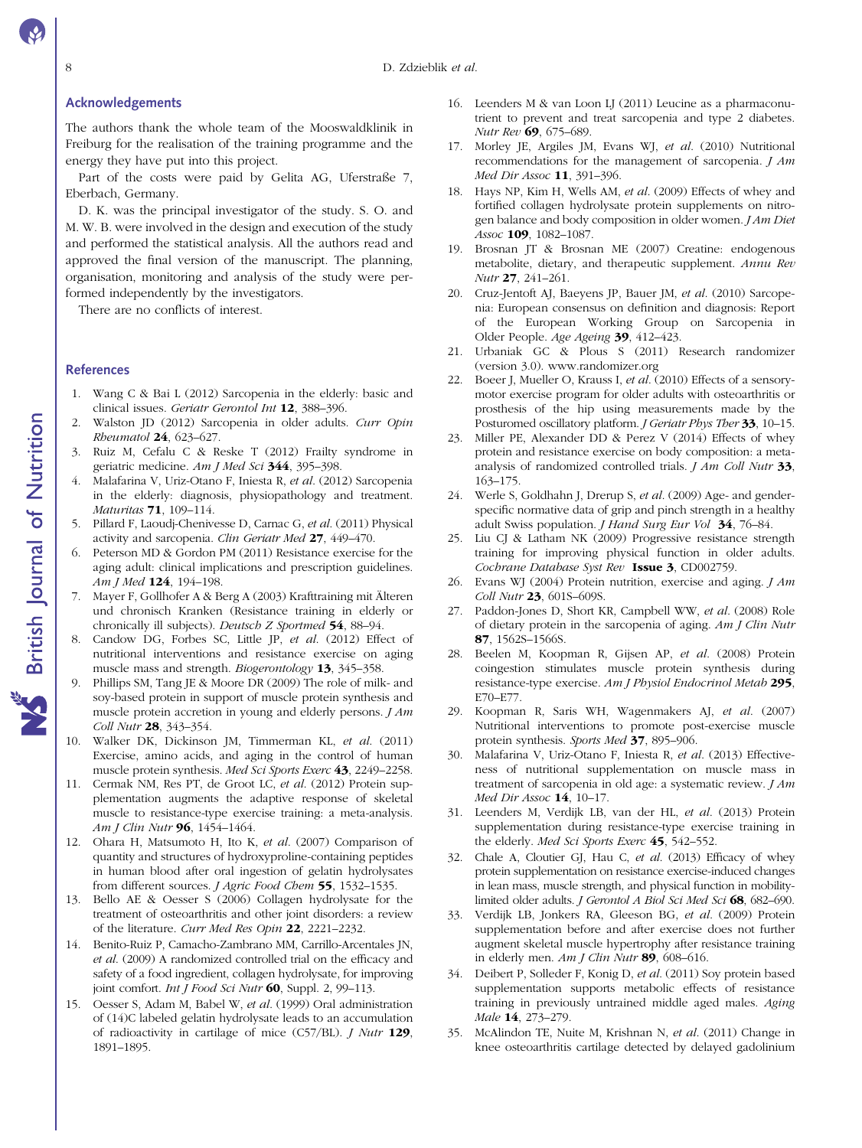## Acknowledgements

The authors thank the whole team of the Mooswaldklinik in Freiburg for the realisation of the training programme and the energy they have put into this project.

Part of the costs were paid by Gelita AG, Uferstraße 7, Eberbach, Germany.

D. K. was the principal investigator of the study. S. O. and M. W. B. were involved in the design and execution of the study and performed the statistical analysis. All the authors read and approved the final version of the manuscript. The planning, organisation, monitoring and analysis of the study were performed independently by the investigators.

There are no conflicts of interest.

#### References

- 1. Wang C & Bai L (2012) Sarcopenia in the elderly: basic and clinical issues. Geriatr Gerontol Int 12, 388–396.
- 2. Walston JD (2012) Sarcopenia in older adults. Curr Opin Rheumatol 24, 623–627.
- 3. Ruiz M, Cefalu C & Reske T (2012) Frailty syndrome in geriatric medicine. Am J Med Sci 344, 395-398.
- 4. Malafarina V, Uriz-Otano F, Iniesta R, et al. (2012) Sarcopenia in the elderly: diagnosis, physiopathology and treatment. Maturitas 71, 109–114.
- 5. Pillard F, Laoudj-Chenivesse D, Carnac G, et al. (2011) Physical activity and sarcopenia. Clin Geriatr Med 27, 449–470.
- 6. Peterson MD & Gordon PM (2011) Resistance exercise for the aging adult: clinical implications and prescription guidelines. Am J Med 124, 194-198.
- 7. Mayer F, Gollhofer A & Berg A (2003) Krafttraining mit Älteren und chronisch Kranken (Resistance training in elderly or chronically ill subjects). Deutsch Z Sportmed 54, 88–94.
- 8. Candow DG, Forbes SC, Little JP, et al. (2012) Effect of nutritional interventions and resistance exercise on aging muscle mass and strength. Biogerontology 13, 345–358.
- 9. Phillips SM, Tang JE & Moore DR (2009) The role of milk- and soy-based protein in support of muscle protein synthesis and muscle protein accretion in young and elderly persons. *J Am* Coll Nutr 28, 343–354.
- 10. Walker DK, Dickinson JM, Timmerman KL, et al. (2011) Exercise, amino acids, and aging in the control of human muscle protein synthesis. Med Sci Sports Exerc 43, 2249–2258.
- 11. Cermak NM, Res PT, de Groot LC, et al. (2012) Protein supplementation augments the adaptive response of skeletal muscle to resistance-type exercise training: a meta-analysis. Am J Clin Nutr 96, 1454–1464.
- 12. Ohara H, Matsumoto H, Ito K, et al. (2007) Comparison of quantity and structures of hydroxyproline-containing peptides in human blood after oral ingestion of gelatin hydrolysates from different sources. J Agric Food Chem 55, 1532-1535.
- 13. Bello AE & Oesser S (2006) Collagen hydrolysate for the treatment of osteoarthritis and other joint disorders: a review of the literature. Curr Med Res Opin 22, 2221–2232.
- 14. Benito-Ruiz P, Camacho-Zambrano MM, Carrillo-Arcentales JN, et al. (2009) A randomized controlled trial on the efficacy and safety of a food ingredient, collagen hydrolysate, for improving joint comfort. Int J Food Sci Nutr 60, Suppl. 2, 99-113.
- 15. Oesser S, Adam M, Babel W, et al. (1999) Oral administration of (14)C labeled gelatin hydrolysate leads to an accumulation of radioactivity in cartilage of mice (C57/BL). J Nutr 129, 1891–1895.
- 16. Leenders M & van Loon LJ (2011) Leucine as a pharmaconutrient to prevent and treat sarcopenia and type 2 diabetes. Nutr Rev 69, 675–689.
- 17. Morley JE, Argiles JM, Evans WJ, et al. (2010) Nutritional recommendations for the management of sarcopenia. *J Am* Med Dir Assoc 11, 391–396.
- 18. Hays NP, Kim H, Wells AM, et al. (2009) Effects of whey and fortified collagen hydrolysate protein supplements on nitrogen balance and body composition in older women. J Am Diet Assoc 109, 1082–1087.
- 19. Brosnan JT & Brosnan ME (2007) Creatine: endogenous metabolite, dietary, and therapeutic supplement. Annu Rev Nutr 27, 241–261.
- 20. Cruz-Jentoft AJ, Baeyens JP, Bauer JM, et al. (2010) Sarcopenia: European consensus on definition and diagnosis: Report of the European Working Group on Sarcopenia in Older People. Age Ageing 39, 412–423.
- 21. Urbaniak GC & Plous S (2011) Research randomizer (version 3.0). www.randomizer.org
- 22. Boeer J, Mueller O, Krauss I, et al. (2010) Effects of a sensorymotor exercise program for older adults with osteoarthritis or prosthesis of the hip using measurements made by the Posturomed oscillatory platform. *J Geriatr Phys Ther* 33, 10-15.
- 23. Miller PE, Alexander DD & Perez V (2014) Effects of whey protein and resistance exercise on body composition: a metaanalysis of randomized controlled trials. *J Am Coll Nutr* 33, 163–175.
- 24. Werle S, Goldhahn J, Drerup S, et al. (2009) Age- and genderspecific normative data of grip and pinch strength in a healthy adult Swiss population. *J Hand Surg Eur Vol* 34, 76–84.
- 25. Liu CJ & Latham NK (2009) Progressive resistance strength training for improving physical function in older adults. Cochrane Database Syst Rev Issue 3, CD002759.
- 26. Evans WJ (2004) Protein nutrition, exercise and aging.  $I Am$ Coll Nutr 23, 6018-609S.
- 27. Paddon-Jones D, Short KR, Campbell WW, et al. (2008) Role of dietary protein in the sarcopenia of aging. Am J Clin Nutr 87, 1562S–1566S.
- 28. Beelen M, Koopman R, Gijsen AP, et al. (2008) Protein coingestion stimulates muscle protein synthesis during resistance-type exercise. Am J Physiol Endocrinol Metab 295, E70–E77.
- 29. Koopman R, Saris WH, Wagenmakers AJ, et al. (2007) Nutritional interventions to promote post-exercise muscle protein synthesis. Sports Med 37, 895-906.
- 30. Malafarina V, Uriz-Otano F, Iniesta R, et al. (2013) Effectiveness of nutritional supplementation on muscle mass in treatment of sarcopenia in old age: a systematic review. J Am Med Dir Assoc 14, 10–17.
- 31. Leenders M, Verdijk LB, van der HL, et al. (2013) Protein supplementation during resistance-type exercise training in the elderly. Med Sci Sports Exerc 45, 542–552.
- 32. Chale A, Cloutier GJ, Hau C, et al. (2013) Efficacy of whey protein supplementation on resistance exercise-induced changes in lean mass, muscle strength, and physical function in mobilitylimited older adults. J Gerontol A Biol Sci Med Sci 68, 682–690.
- 33. Verdijk LB, Jonkers RA, Gleeson BG, et al. (2009) Protein supplementation before and after exercise does not further augment skeletal muscle hypertrophy after resistance training in elderly men. Am J Clin Nutr 89, 608-616.
- 34. Deibert P, Solleder F, Konig D, et al. (2011) Soy protein based supplementation supports metabolic effects of resistance training in previously untrained middle aged males. Aging Male 14, 273-279.
- 35. McAlindon TE, Nuite M, Krishnan N, et al. (2011) Change in knee osteoarthritis cartilage detected by delayed gadolinium

<span id="page-8-0"></span>